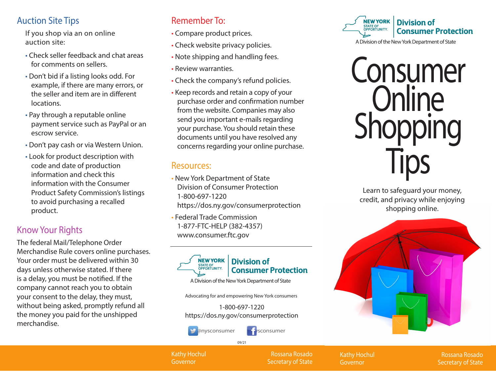### Auction Site Tips

If you shop via an on online auction site:

- Check seller feedback and chat areas for comments on sellers.
- Don't bid if a listing looks odd. For example, if there are many errors, or the seller and item are in different locations.
- Pay through a reputable online payment service such as PayPal or an escrow service.
- Don't pay cash or via Western Union.
- Look for product description with code and date of production information and check this information with the Consumer Product Safety Commission's listings to avoid purchasing a recalled product.

# Know Your Rights

The federal Mail/Telephone Order Merchandise Rule covers online purchases. Your order must be delivered within 30 days unless otherwise stated. If there is a delay, you must be notified. If the company cannot reach you to obtain your consent to the delay, they must, without being asked, promptly refund all the money you paid for the unshipped merchandise.

## Remember To:

- Compare product prices.
- Check website privacy policies.
- Note shipping and handling fees.
- Review warranties.
- Check the company's refund policies.
- Keep records and retain a copy of your purchase order and confirmation number from the website. Companies may also send you important e-mails regarding your purchase. You should retain these documents until you have resolved any concerns regarding your online purchase.

### Resources:

- New York Department of State Division of Consumer Protection 1-800-697-1220 https://dos.ny.gov/consumerprotection
- Federal Trade Commission 1-877-FTC-HELP (382-4357) www.consumer.ftc.gov



#### **Division of Consumer Protection**

A Division of the New York Department of State

Advocating for and empowering New York consumers

1-800-697-1220 https://dos.ny.gov/consumerprotection



@nysconsumer **interpretial filter** sconsumer

09/21

**NEW YORK Division of** STATE OF<br>OPPORTUNITY. **Consumer Protection** 

A Division of the New York Department of State



Learn to safeguard your money, credit, and privacy while enjoying shopping online.



Kathy Hochul Governor

Rossana Rosado Secretary of State Kathy Hochul Governor

Rossana Rosado Secretary of State